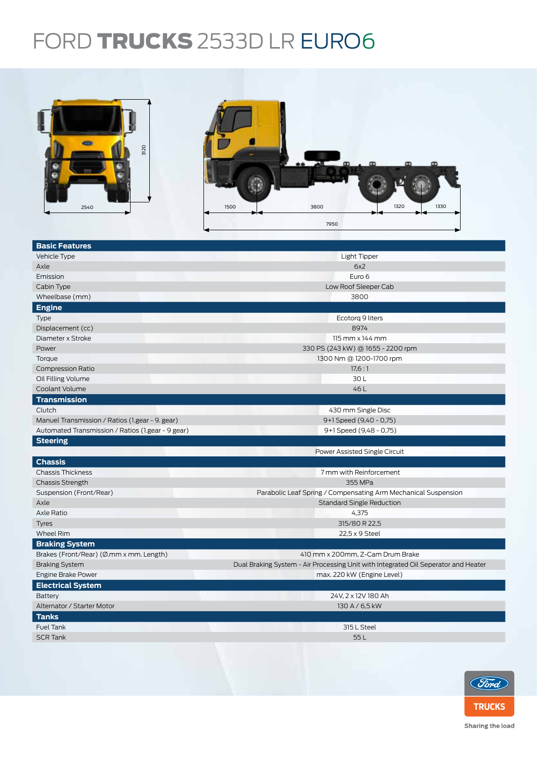## FORD TRUCKS 2533D LR EURO6



| <b>Basic Features</b>                             |                                                                                    |  |  |  |
|---------------------------------------------------|------------------------------------------------------------------------------------|--|--|--|
| Vehicle Type                                      | <b>Light Tipper</b>                                                                |  |  |  |
| Axle                                              | 6x2                                                                                |  |  |  |
| Emission                                          | Euro 6                                                                             |  |  |  |
| Cabin Type                                        | Low Roof Sleeper Cab                                                               |  |  |  |
| Wheelbase (mm)                                    | 3800                                                                               |  |  |  |
| <b>Engine</b>                                     |                                                                                    |  |  |  |
| <b>Type</b>                                       | Ecotorg 9 liters                                                                   |  |  |  |
| Displacement (cc)                                 | 8974                                                                               |  |  |  |
| Diameter x Stroke                                 | $115$ mm $\times$ 144 mm                                                           |  |  |  |
| Power                                             | 330 PS (243 kW) @ 1655 - 2200 rpm                                                  |  |  |  |
| Torque                                            | 1300 Nm @ 1200-1700 rpm                                                            |  |  |  |
| <b>Compression Ratio</b>                          | 17.6:1                                                                             |  |  |  |
| Oil Filling Volume                                | 30L                                                                                |  |  |  |
| Coolant Volume                                    | 46L                                                                                |  |  |  |
| <b>Transmission</b>                               |                                                                                    |  |  |  |
| Clutch                                            | 430 mm Single Disc                                                                 |  |  |  |
| Manuel Transmission / Ratios (1.gear - 9. gear)   | 9+1 Speed (9,40 - 0,75)                                                            |  |  |  |
| Automated Transmission / Ratios (1.gear - 9 gear) | 9+1 Speed (9,48 - 0,75)                                                            |  |  |  |
| <b>Steering</b>                                   |                                                                                    |  |  |  |
|                                                   | Power Assisted Single Circuit                                                      |  |  |  |
| <b>Chassis</b>                                    |                                                                                    |  |  |  |
| <b>Chassis Thickness</b>                          | 7 mm with Reinforcement                                                            |  |  |  |
| <b>Chassis Strength</b>                           | 355 MPa                                                                            |  |  |  |
| Suspension (Front/Rear)                           | Parabolic Leaf Spring / Compensating Arm Mechanical Suspension                     |  |  |  |
| Axle                                              | <b>Standard Single Reduction</b>                                                   |  |  |  |
| Axle Ratio                                        | 4,375                                                                              |  |  |  |
| <b>Tyres</b>                                      | 315/80 R 22,5                                                                      |  |  |  |
| <b>Wheel Rim</b>                                  | 22,5 x 9 Steel                                                                     |  |  |  |
| <b>Braking System</b>                             |                                                                                    |  |  |  |
| Brakes (Front/Rear) (Ø.mm x mm. Length)           | 410 mm x 200mm, Z-Cam Drum Brake                                                   |  |  |  |
| <b>Braking System</b>                             | Dual Braking System - Air Processing Unit with Integrated Oil Seperator and Heater |  |  |  |
| Engine Brake Power                                | max. 220 kW (Engine Level)                                                         |  |  |  |
| <b>Electrical System</b>                          |                                                                                    |  |  |  |
| Battery                                           | 24V, 2 x 12V 180 Ah                                                                |  |  |  |
| Alternator / Starter Motor                        | 130 A / 6,5 kW                                                                     |  |  |  |
| <b>Tanks</b>                                      |                                                                                    |  |  |  |
| <b>Fuel Tank</b>                                  | 315 L Steel                                                                        |  |  |  |
| <b>SCR Tank</b>                                   | 55L                                                                                |  |  |  |
|                                                   |                                                                                    |  |  |  |
|                                                   |                                                                                    |  |  |  |



Sharing the load